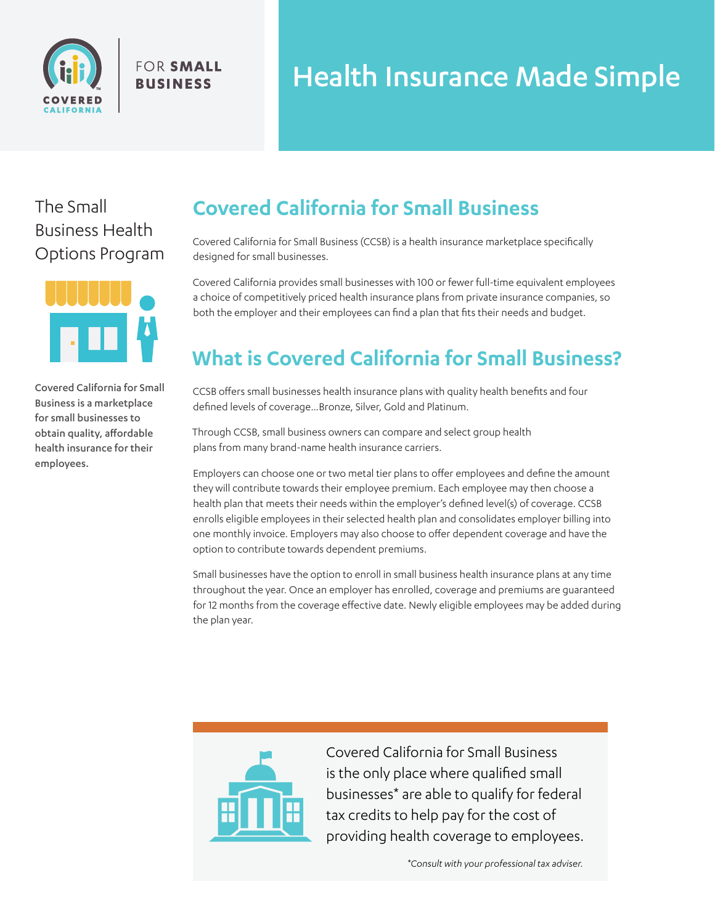

**FOR SMALL BUSINESS** 

# Health Insurance Made Simple

The Small Business Health Options Program



Covered California for Small Business is a marketplace for small businesses to obtain quality, affordable health insurance for their employees.

# **Covered California for Small Business**

Covered California for Small Business (CCSB) is a health insurance marketplace specifically designed for small businesses.

Covered California provides small businesses with 100 or fewer full-time equivalent employees a choice of competitively priced health insurance plans from private insurance companies, so both the employer and their employees can find a plan that fits their needs and budget.

# **What is Covered California for Small Business?**

CCSB offers small businesses health insurance plans with quality health benefits and four defined levels of coverage...Bronze, Silver, Gold and Platinum.

Through CCSB, small business owners can compare and select group health plans from many brand-name health insurance carriers.

Employers can choose one or two metal tier plans to offer employees and define the amount they will contribute towards their employee premium. Each employee may then choose a health plan that meets their needs within the employer's defined level(s) of coverage. CCSB enrolls eligible employees in their selected health plan and consolidates employer billing into one monthly invoice. Employers may also choose to offer dependent coverage and have the option to contribute towards dependent premiums.

Small businesses have the option to enroll in small business health insurance plans at any time throughout the year. Once an employer has enrolled, coverage and premiums are guaranteed for 12 months from the coverage effective date. Newly eligible employees may be added during the plan year.



Covered California for Small Business is the only place where qualified small businesses\* are able to qualify for federal tax credits to help pay for the cost of providing health coverage to employees.

*\*Consult with your professional tax adviser.*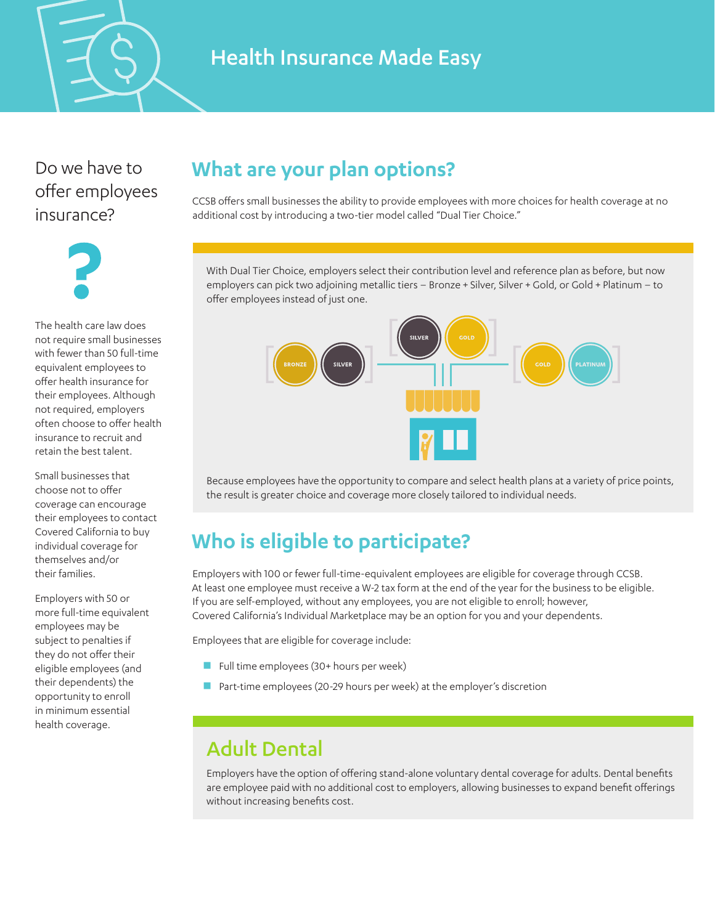

#### Health Insurance Made Easy

Do we have to offer employees insurance?



The health care law does not require small businesses with fewer than 50 full-time equivalent employees to offer health insurance for their employees. Although not required, employers often choose to offer health insurance to recruit and retain the best talent.

Small businesses that choose not to offer coverage can encourage their employees to contact Covered California to buy individual coverage for themselves and/or their families.

Employers with 50 or more full-time equivalent employees may be subject to penalties if they do not offer their eligible employees (and their dependents) the opportunity to enroll in minimum essential health coverage.

#### **What are your plan options?**

CCSB offers small businesses the ability to provide employees with more choices for health coverage at no additional cost by introducing a two-tier model called "Dual Tier Choice."

With Dual Tier Choice, employers select their contribution level and reference plan as before, but now employers can pick two adjoining metallic tiers – Bronze + Silver, Silver + Gold, or Gold + Platinum – to offer employees instead of just one.



Because employees have the opportunity to compare and select health plans at a variety of price points, the result is greater choice and coverage more closely tailored to individual needs.

# **Who is eligible to participate?**

Employers with 100 or fewer full-time-equivalent employees are eligible for coverage through CCSB. At least one employee must receive a W-2 tax form at the end of the year for the business to be eligible. If you are self-employed, without any employees, you are not eligible to enroll; however, Covered California's Individual Marketplace may be an option for you and your dependents.

Employees that are eligible for coverage include:

- Full time employees  $(30 +$  hours per week)
- Part-time employees (20-29 hours per week) at the employer's discretion

#### Adult Dental

Employers have the option of offering stand-alone voluntary dental coverage for adults. Dental benefits are employee paid with no additional cost to employers, allowing businesses to expand benefit offerings without increasing benefits cost.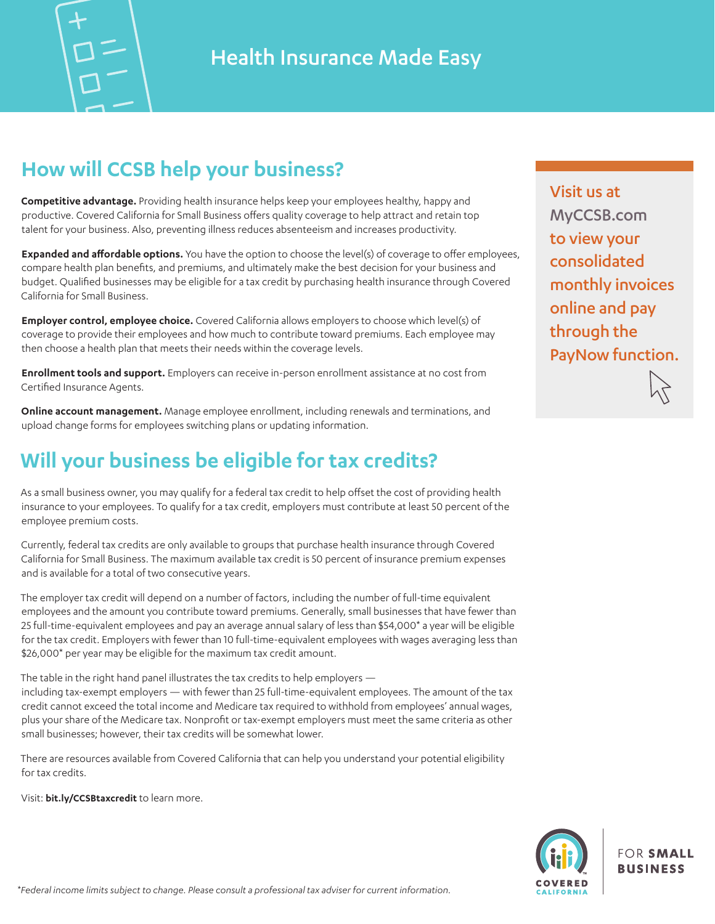

## **How will CCSB help your business?**

**Competitive advantage.** Providing health insurance helps keep your employees healthy, happy and productive. Covered California for Small Business offers quality coverage to help attract and retain top talent for your business. Also, preventing illness reduces absenteeism and increases productivity.

**Expanded and affordable options.** You have the option to choose the level(s) of coverage to offer employees, compare health plan benefits, and premiums, and ultimately make the best decision for your business and budget. Qualified businesses may be eligible for a tax credit by purchasing health insurance through Covered California for Small Business.

**Employer control, employee choice.** Covered California allows employers to choose which level(s) of coverage to provide their employees and how much to contribute toward premiums. Each employee may then choose a health plan that meets their needs within the coverage levels.

**Enrollment tools and support.** Employers can receive in-person enrollment assistance at no cost from Certified Insurance Agents.

**Online account management.** Manage employee enrollment, including renewals and terminations, and upload change forms for employees switching plans or updating information.

#### **Will your business be eligible for tax credits?**

As a small business owner, you may qualify for a federal tax credit to help offset the cost of providing health insurance to your employees. To qualify for a tax credit, employers must contribute at least 50 percent of the employee premium costs.

Currently, federal tax credits are only available to groups that purchase health insurance through Covered California for Small Business. The maximum available tax credit is 50 percent of insurance premium expenses and is available for a total of two consecutive years.

The employer tax credit will depend on a number of factors, including the number of full-time equivalent employees and the amount you contribute toward premiums. Generally, small businesses that have fewer than 25 full-time-equivalent employees and pay an average annual salary of less than \$54,000\* a year will be eligible for the tax credit. Employers with fewer than 10 full-time-equivalent employees with wages averaging less than \$26,000\* per year may be eligible for the maximum tax credit amount.

The table in the right hand panel illustrates the tax credits to help employers —

including tax-exempt employers — with fewer than 25 full-time-equivalent employees. The amount of the tax credit cannot exceed the total income and Medicare tax required to withhold from employees' annual wages, plus your share of the Medicare tax. Nonprofit or tax-exempt employers must meet the same criteria as other small businesses; however, their tax credits will be somewhat lower.

There are resources available from Covered California that can help you understand your potential eligibility for tax credits.

Visit: **bit.ly/CCSBtaxcredit** to learn more.

Visit us at MyCCSB.com to view your consolidated monthly invoices online and pay through the PayNow function.



**FOR SMALL BUSINESS**